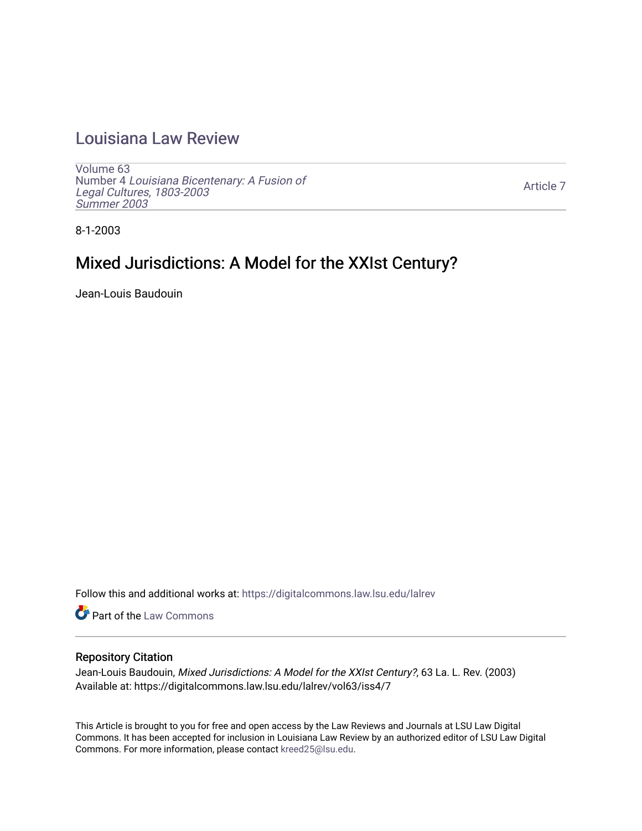## [Louisiana Law Review](https://digitalcommons.law.lsu.edu/lalrev)

[Volume 63](https://digitalcommons.law.lsu.edu/lalrev/vol63) Number 4 [Louisiana Bicentenary: A Fusion of](https://digitalcommons.law.lsu.edu/lalrev/vol63/iss4) [Legal Cultures, 1803-2003](https://digitalcommons.law.lsu.edu/lalrev/vol63/iss4) [Summer 2003](https://digitalcommons.law.lsu.edu/lalrev/vol63/iss4) 

[Article 7](https://digitalcommons.law.lsu.edu/lalrev/vol63/iss4/7) 

8-1-2003

# Mixed Jurisdictions: A Model for the XXIst Century?

Jean-Louis Baudouin

Follow this and additional works at: [https://digitalcommons.law.lsu.edu/lalrev](https://digitalcommons.law.lsu.edu/lalrev?utm_source=digitalcommons.law.lsu.edu%2Flalrev%2Fvol63%2Fiss4%2F7&utm_medium=PDF&utm_campaign=PDFCoverPages)

Part of the [Law Commons](https://network.bepress.com/hgg/discipline/578?utm_source=digitalcommons.law.lsu.edu%2Flalrev%2Fvol63%2Fiss4%2F7&utm_medium=PDF&utm_campaign=PDFCoverPages)

## Repository Citation

Jean-Louis Baudouin, Mixed Jurisdictions: A Model for the XXIst Century?, 63 La. L. Rev. (2003) Available at: https://digitalcommons.law.lsu.edu/lalrev/vol63/iss4/7

This Article is brought to you for free and open access by the Law Reviews and Journals at LSU Law Digital Commons. It has been accepted for inclusion in Louisiana Law Review by an authorized editor of LSU Law Digital Commons. For more information, please contact [kreed25@lsu.edu](mailto:kreed25@lsu.edu).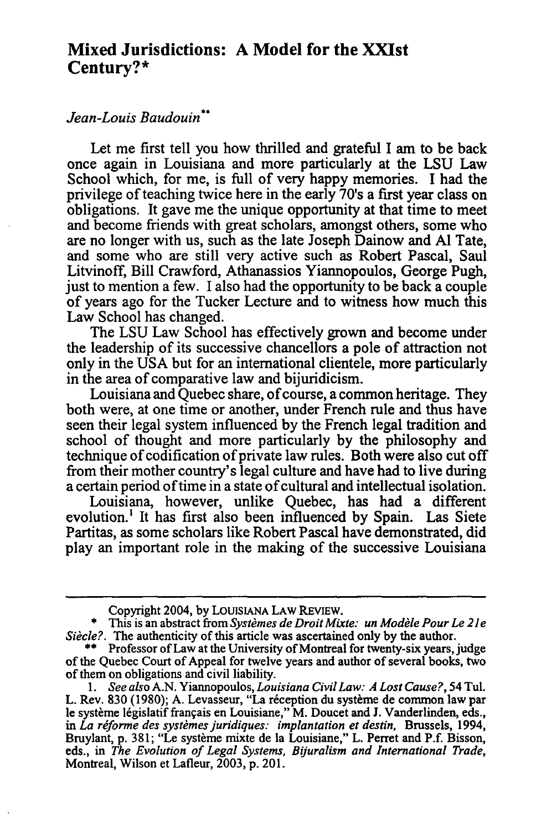## **Mixed Jurisdictions: A Model for the XXIst Century?\***

## Jean-Louis Baudouin"

Let me first tell you how thrilled and grateful I am to be back once again in Louisiana and more particularly at the **LSU** Law School which, for me, is full of very happy memories. I had the privilege of teaching twice here in the early 70's a first year class on obligations. It gave me the unique opportunity at that time to meet and become friends with great scholars, amongst others, some who are no longer with us, such as the late Joseph Dainow and **Al** Tate, and some who are still very active such as Robert Pascal, Saul Litvinoff, Bill Crawford, Athanassios Yiannopoulos, George Pugh, just to mention a few. I also had the opportunity to be back a couple of years ago for the Tucker Lecture and to witness how much this Law School has changed.

The **LSU** Law School has effectively grown and become under the leadership of its successive chancellors a pole of attraction not only in the **USA** but for an international clientele, more particularly in the area of comparative law and bijuridicism.

Louisiana and Quebec share, of course, a common heritage. They both were, at one time or another, under French rule and thus have seen their legal system influenced by the French legal tradition and school of thought and more particularly by the philosophy and technique of codification of private law rules. Both were also cut off from their mother country's legal culture and have had to live during a certain period of time in a state of cultural and intellectual isolation.

Louisiana, however, unlike Quebec, has had a different evolution.' It has first also been influenced by Spain. Las Siete Partitas, as some scholars like Robert Pascal have demonstrated, did play an important role in the making of the successive Louisiana

Copyright 2004, by **LOUISIANA** LAW **REVIEW.** 

<sup>\*</sup> This is an abstract from *Systèmes de Droit Mixte: un Modèle Pour Le 21e Si&cle?.* The authenticity of this article was ascertained only by the author.

<sup>\*\*</sup> Professor of Law at the University of Montreal for twenty-six years, judge of the Quebec Court of Appeal for twelve years and author of several books, two of them on obligations and civil liability.

*<sup>1.</sup> See also*A.N. Yiannopoulos, *LouisianaCivilLaw: A Lost Cause?,* 54 Tul. L. Rev. 830 (1980); A. Levasseur, "La réception du système de common law par le système législatif français en Louisiane," M. Doucet and J. Vanderlinden, eds., in *La réforme des systèmes juridiques: implantation et destin*, Brussels, 1994, Bruylant, p. 381; "Le système mixte de la Louisiane," L. Perret and P.f. Bisson, eds., in *The Evolution of Legal Systems, Byuralism and International Trade,*  Montreal, Wilson et Lafleur, 2003, p. 201.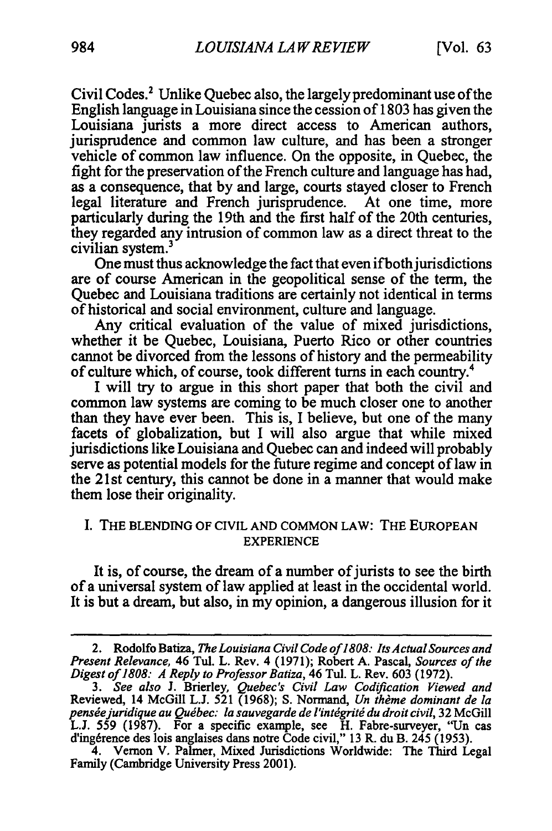Civil Codes.<sup>2</sup> Unlike Quebec also, the largely predominant use of the English language in Louisiana since the cession of 1803 has given the Louisiana jurists a more direct access to American authors, jurisprudence and common law culture, and has been a stronger vehicle of common law influence. On the opposite, in Quebec, the fight for the preservation of the French culture and language has had, as a consequence, that by and large, courts stayed closer to French legal literature and French jurisprudence. At one time, more particularly during the 19th and the first half of the 20th centuries, they regarded any intrusion of common law as a direct threat to the civilian system.<sup>3</sup>

One must thus acknowledge the fact that even if both jurisdictions are of course American in the geopolitical sense of the term, the Quebec and Louisiana traditions are certainly not identical in terms of historical and social environment, culture and language.

Any critical evaluation of the value of mixed jurisdictions, whether it be Quebec, Louisiana, Puerto Rico or other countries cannot be divorced from the lessons of history and the permeability of culture which, of course, took different turns in each country.4

I will try to argue in this short paper that both the civil and common law systems are coming to be much closer one to another than they have ever been. This is, I believe, but one of the many facets of globalization, but I will also argue that while mixed jurisdictions like Louisiana and Quebec can and indeed will probably serve as potential models for the future regime and concept of law in the 21 st century, this cannot be done in a manner that would make them lose their originality.

### I. THE BLENDING OF CIVIL AND COMMON LAW: THE EUROPEAN EXPERIENCE

It is, of course, the dream of a number of jurists to see the birth of a universal system of law applied at least in the occidental world. It is but a dream, but also, in my opinion, a dangerous illusion for it

<sup>2.</sup> Rodolfo Batiza, *The Louisiana Civil Code of 1808: Its Actual Sources and Present Relevance, 46 Tul. L. Rev. 4 (1971); Robert A. Pascal, Sources of the Digestof 1808: A Reply to ProfessorBatiza,* 46 Tul. L. Rev. 603 (1972).

*<sup>3.</sup> See also* J. Brierley, *Quebec's Civil Law Codification Viewed and*  Reviewed, 14 McGill L.J. 521 (1968); S. Normand, *Un thème dominant de la* pensée juridique au Québec: la sauvegarde de l'intégrité du droit civil, 32 McGill L.J. 559 (1987). For a specific example, see H. Fabre-surveyer, "Un cas d'ing6rence des lois anglaises dans notre Code civil," 13 R. du B. 245 **(1953).** 

<sup>4.</sup> Vernon V. Palmer, Mixed Jurisdictions Worldwide: The Third Legal Family (Cambridge University Press 2001).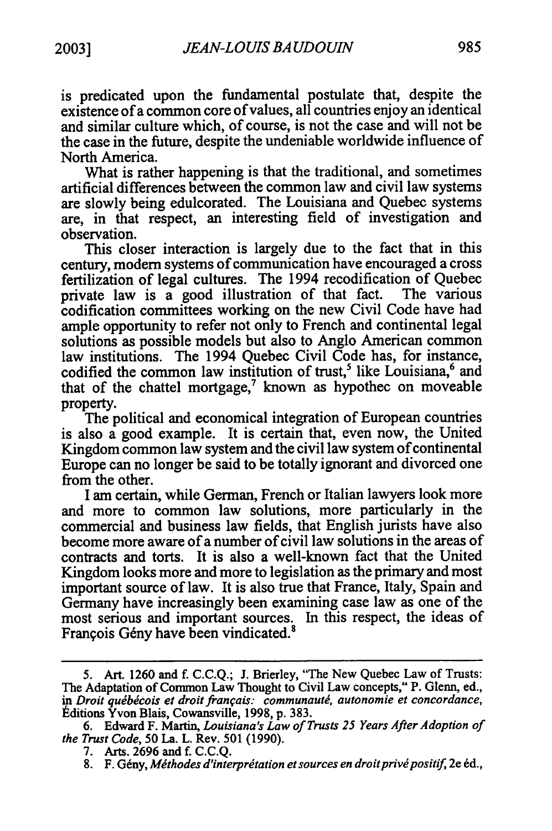is predicated upon the fundamental postulate that, despite the existence of a common core of values, all countries enjoy an identical and similar culture which, of course, is not the case and will not be the case in the future, despite the undeniable worldwide influence of North America.

What is rather happening is that the traditional, and sometimes artificial differences between the common law and civil law systems are slowly being edulcorated. The Louisiana and Quebec systems are, in that respect, an interesting field of investigation and observation.

This closer interaction is largely due to the fact that in this century, modem systems of communication have encouraged a cross fertilization of legal cultures. The 1994 recodification of Quebec private law is a good illustration of that fact. The various codification committees working on the new Civil Code have had ample opportunity to refer not only to French and continental legal solutions as possible models but also to Anglo American common law institutions. The 1994 Quebec Civil Code has, for instance, codified the common law institution of trust,<sup>5</sup> like Louisiana,<sup>6</sup> and that of the chattel mortgage, $^7$  known as hypothec on moveable property.

The political and economical integration of European countries is also a good example. It is certain that, even now, the United Kingdom common law system and the civil law system of continental Europe can no longer be said to be totally ignorant and divorced one from the other.

I am certain, while German, French or Italian lawyers look more and more to common law solutions, more particularly in the commercial and business law fields, that English jurists have also become more aware of a number of civil law solutions in the areas of contracts and torts. It is also a well-known fact that the United Kingdom looks more and more to legislation as the primary and most important source of law. It is also true that France, Italy, Spain and Germany have increasingly been examining case law as one of the most serious and important sources. In this respect, the ideas of François Gény have been vindicated.<sup>8</sup>

8. F. Gény, *Méthodes d'interprétation et sources en droit privé positif*, 2e éd.,

<sup>5.</sup> Art. 1260 and f. C.C.Q.; J. Brierley, "The New Quebec Law of Trusts: The Adaptation of Common Law Thought to Civil Law concepts, "P. Glenn, ed., *in Droitqudbdcois et droitfranais." communautd, autonomie et concordance,*  tditions Yvon Blais, Cowansville, 1998, p. 383.

<sup>6.</sup> Edward F. Martin, *Louisiana's Law of Trusts 25 Years After Adoption of the Trust Code,* 50 La. L. Rev. 501 (1990).

<sup>7.</sup> Arts. 2696 and f. C.C.Q.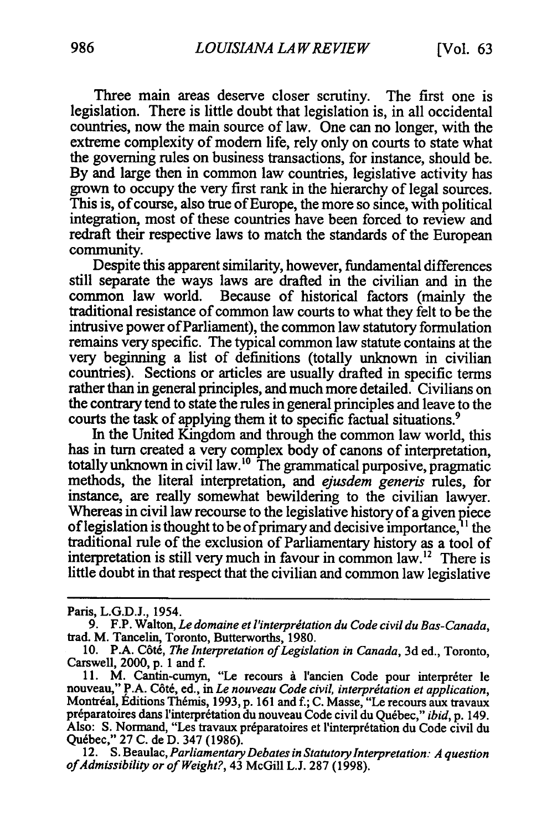Three main areas deserve closer scrutiny. The first one is legislation. There is little doubt that legislation is, in all occidental countries, now the main source of law. One can no longer, with the extreme complexity of modem life, rely only on courts to state what the governing rules on business transactions, for instance, should be. By and large then in common law countries, legislative activity has grown to occupy the very first rank in the hierarchy of legal sources. This is, of course, also true of Europe, the more so since, with political integration, most of these countries have been forced to review and redraft their respective laws to match the standards of the European community.

Despite this apparent similarity, however, fundamental differences still separate the ways laws are drafted in the civilian and in the common law world. Because of historical factors (mainly the traditional resistance of common law courts to what they felt to be the intrusive power of Parliament), the common law statutory formulation remains very specific. The typical common law statute contains at the very beginning a list of definitions (totally unknown in civilian countries). Sections or articles are usually drafted in specific terms rather than in general principles, and much more detailed. Civilians on the contrary tend to state the rules in general principles and leave to the courts the task of applying them it to specific factual situations.<sup>9</sup>

In the United Kingdom and through the common law world, this has in turn created a very complex body of canons of interpretation, totally unknown in civil law.<sup>10</sup> The grammatical purposive, pragmatic methods, the literal interpretation, and *ejusdem generis* rules, for instance, are really somewhat bewildering to the civilian lawyer. Whereas in civil law recourse to the legislative history of a given piece of legislation is thought to be of primary and decisive importance,  $1<sup>1</sup>$  the traditional rule of the exclusion of Parliamentary history as a tool of interpretation is still very much in favour in common law.<sup>12</sup> There is little doubt in that respect that the civilian and common law legislative

12. S. Beaulac, *Parliamentary Debates in Statutory Interpretation: A question* of Admissibility or of Weight?, 43 McGill L.J. 287 (1998).

Paris, L.G.D.J., 1954.

<sup>9.</sup> F.P. Walton, *Le domaine et l'interprétation du Code civil du Bas-Canada*, trad. M. Tancelin, Toronto, Butterworths, 1980.

<sup>10.</sup> P.A. Côté, *The Interpretation of Legislation in Canada*, 3d ed., Toronto, Carswell, 2000, p. 1 and f.

<sup>11.</sup> M. Cantin-cumyn, "Le recours à l'ancien Code pour interpréter le nouveau," P.A. Côté, ed., in *Le nouveau Code civil, interprétation et application*, Montréal, Editions Thémis, 1993, p. 161 and f.; C. Masse, "Le recours aux travaux préparatoires dans l'interprétation du nouveau Code civil du Québec," *ibid*, p. 149. Also: S. Normand, "Les travaux préparatoires et l'interprétation du Code civil du Quebec," 27 C. de D. 347 (1986).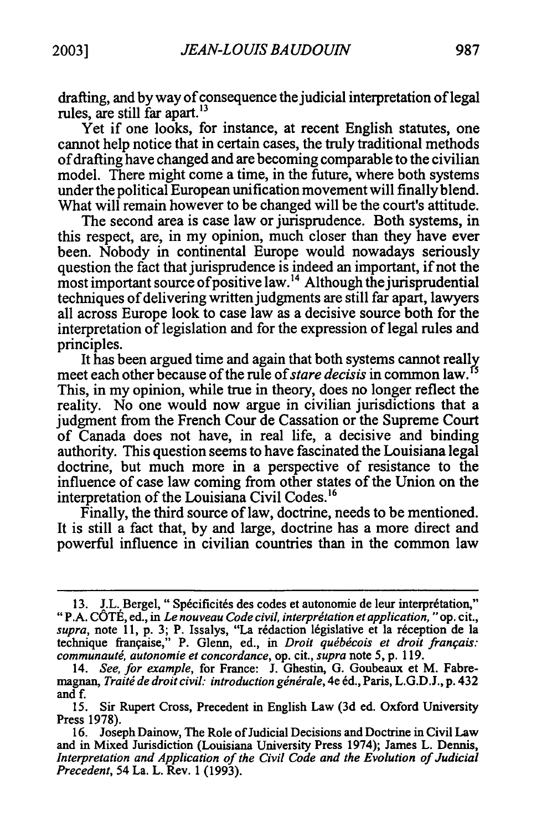drafting, and by way of consequence the judicial interpretation of legal rules, are still far apart.<sup>13</sup>

Yet if one looks, for instance, at recent English statutes, one cannot help notice that in certain cases, the truly traditional methods ofdrafting have changed and are becoming comparable to the civilian model. There might come a time, in the future, where both systems under the political European unification movement will finally blend. What will remain however to be changed will be the court's attitude.

The second area is case law or jurisprudence. Both systems, in this respect, are, in my opinion, much closer than they have ever been. Nobody in continental Europe would nowadays seriously question the fact that jurisprudence is indeed an important, if not the most important source of positive law.<sup>14</sup> Although the jurisprudential techniques of delivering written judgments are still far apart, lawyers all across Europe look to case law as a decisive source both for the interpretation of legislation and for the expression of legal rules and principles.

It has been argued time and again that both systems cannot really meet each other because of the rule of *stare decisis* in common law.<sup>15</sup> This, in my opinion, while true in theory, does no longer reflect the reality. No one would now argue in civilian jurisdictions that a judgment from the French Cour de Cassation or the Supreme Court of Canada does not have, in real life, a decisive and binding authority. This question seems to have fascinated the Louisiana legal doctrine, but much more in a perspective of resistance to the influence of case law coming from other states of the Union on the interpretation of the Louisiana Civil [Codes.16](https://Codes.16) 

Finally, the third source of law, doctrine, needs to be mentioned. It is still a fact that, by and large, doctrine has a more direct and powerful influence in civilian countries than in the common law

<sup>13.</sup> J.L. Bergel, "Spécificités des codes et autonomie de leur interprétation," "P.A. COTE, ed., in *Le nouveau Code civil, interprdtationet application,***"**op. cit., supra, note 11, p. 3; P. Issalys, "La rédaction législative et la réception de la technique française," P. Glenn, ed., in *Droit québécois et droit français: communaut6, autonomie et concordance,* op. cit., *supra*note 5, p. 119.

<sup>14.</sup> *See, for example,* for France: J. Ghestin, G. Goubeaux et M. Fabremagnan, *Traitide droitcivil.- introductiongin~rale,*4e 6d., Paris, L.G.D.J., p. 432 and f.

<sup>15.</sup> Sir Rupert Cross, Precedent in English Law (3d ed. Oxford University Press 1978).

<sup>16.</sup> Joseph Dainow, The Role of Judicial Decisions and Doctrine in Civil Law and in Mixed Jurisdiction (Louisiana University Press 1974); James L. Dennis, Interpretation and Application of the Civil Code and the Evolution of Judicial *Precedent,*54 La. L. Rev. 1(1993).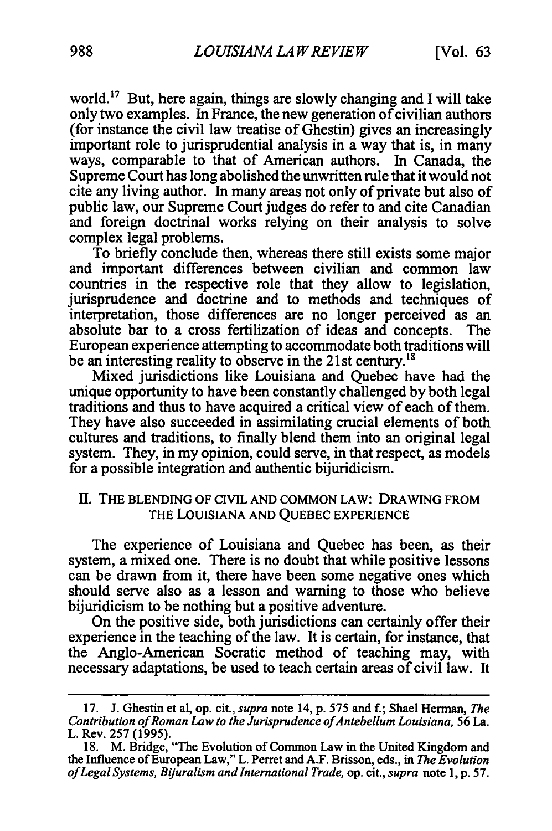world.<sup>17</sup> But, here again, things are slowly changing and I will take only two examples. In France, the new generation of civilian authors (for instance the civil law treatise of Ghestin) gives an increasingly important role to jurisprudential analysis in a way that is, in many ways, comparable to that of American authors. In Canada, the Supreme Court has long abolished the unwritten rule that it would not cite any living author. In many areas not only of private but also of public law, our Supreme Court judges do refer to and cite Canadian and foreign doctrinal works relying on their analysis to solve complex legal problems.

To briefly conclude then, whereas there still exists some major and important differences between civilian and common law countries in the respective role that they allow to legislation, jurisprudence and doctrine and to methods and techniques of interpretation, those differences are no longer perceived as an absolute bar to a cross fertilization of ideas and concepts. The European experience attempting to accommodate both traditions will be an interesting reality to observe in the 21st century.<sup>18</sup>

Mixed jurisdictions like Louisiana and Quebec have had the unique opportunity to have been constantly challenged by both legal traditions and thus to have acquired a critical view of each of them. They have also succeeded in assimilating crucial elements of both cultures and traditions, to finally blend them into an original legal system. They, in my opinion, could serve, in that respect, as models for a possible integration and authentic bijuridicism.

#### II. THE BLENDING OF CIVIL AND COMMON LAW: DRAWING FROM THE LOUISIANA AND QUEBEC EXPERIENCE

The experience of Louisiana and Quebec has been, as their system, a mixed one. There is no doubt that while positive lessons can be drawn from it, there have been some negative ones which should serve also as a lesson and warning to those who believe bijuridicism to be nothing but a positive adventure.

On the positive side, both jurisdictions can certainly offer their experience in the teaching of the law. It is certain, for instance, that the Anglo-American Socratic method of teaching may, with necessary adaptations, be used to teach certain areas of civil law. It

<sup>17.</sup> J. Ghestin et al, op. cit., *supra* note 14, p. 575 and f.; Shael Herman, *The ContributionofRoman Law to the JurisprudenceofAntebellum Louisiana,*56 La. L. Rev. 257 (1995).

<sup>18.</sup> M. Bridge, "The Evolution of Common Law in the United Kingdom and the Influence of European Law," L. Perret and A.F. Brisson, eds., in *The Evolution ofLegalSystems, BiuralismandInternationalTrade,*op. cit., *supra* note **1, p. 57.**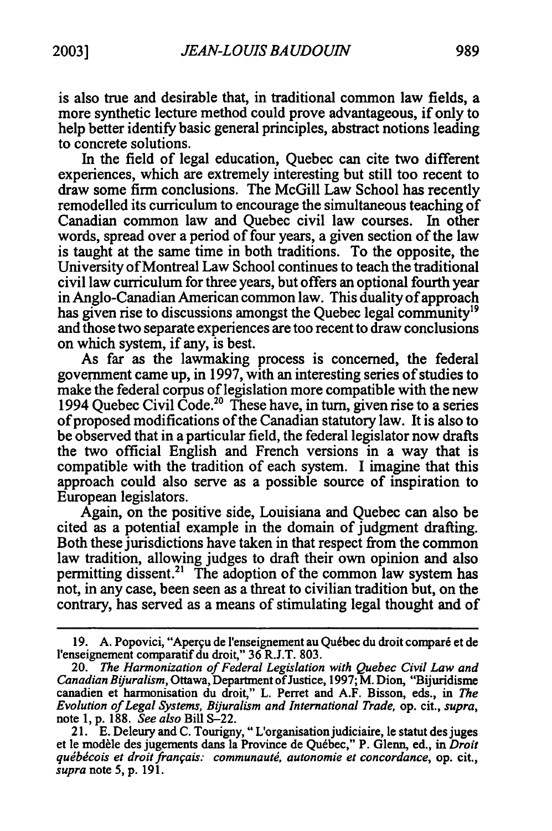is also true and desirable that, in traditional common law fields, a more synthetic lecture method could prove advantageous, if only to help better identify basic general principles, abstract notions leading to concrete solutions.

In the field of legal education, Quebec can cite two different experiences, which are extremely interesting but still too recent to draw some firm conclusions. The McGill Law School has recently remodelled its curriculum to encourage the simultaneous teaching of Canadian common law and Quebec civil law courses. In other words, spread over a period of four years, a given section of the law is taught at the same time in both traditions. To the opposite, the University of Montreal Law School continues to teach the traditional civil law curriculum for three years, but offers an optional fourth year in Anglo-Canadian American common law. This duality of approach has given rise to discussions amongst the Quebec legal community<sup>19</sup> and those two separate experiences are too recent to draw conclusions on which system, if any, is best.

As far as the lawmaking process is concerned, the federal government came up, in 1997, with an interesting series of studies to make the federal corpus of legislation more compatible with the new 1994 Quebec Civil Code.<sup>20</sup> These have, in turn, given rise to a series of proposed modifications of the Canadian statutory law. It is also to be observed that in a particular field, the federal legislator now drafts the two official English and French versions in a way that is compatible with the tradition of each system. I imagine that this approach could also serve as a possible source of inspiration to European legislators.

Again, on the positive side, Louisiana and Quebec can also be cited as a potential example in the domain of judgment drafting. Both these jurisdictions have taken in that respect from the common law tradition, allowing judges to draft their own opinion and also permitting dissent.<sup>21</sup> The adoption of the common law system has not, in any case, been seen as a threat to civilian tradition but, on the contrary, has served as a means of stimulating legal thought and of

<sup>19.</sup> A. Popovici, "Aperçu de l'enseignement au Québec du droit comparé et de l'enseignement comparatif du droit," 36 R.J.T. 803.

<sup>20.</sup> The Harmonization of Federal Legislation with Quebec Civil Law and *CanadianByuralism,*Ottawa, Department ofJustice, 1997; M. Dion, "Bijuridisme canadien et harmonisation du droit," L. Perret and **A.F.** Bisson, eds., in *The Evolution ofLegal Systems, Byuralism and InternationalTrade,* op. cit., *supra,*  note 1, p. 188. *See also* Bill S-22.

<sup>21.</sup> E. Deleury and C. Tourigny, "L'organisationjudiciaire, le statut des juges et le modèle des jugements dans la Province de Québec," P. Glenn, ed., in *Droit qudb~cois et droitfranqais: communauti, autonomie et concordance,* op. cit., *supra*note 5, p. 191.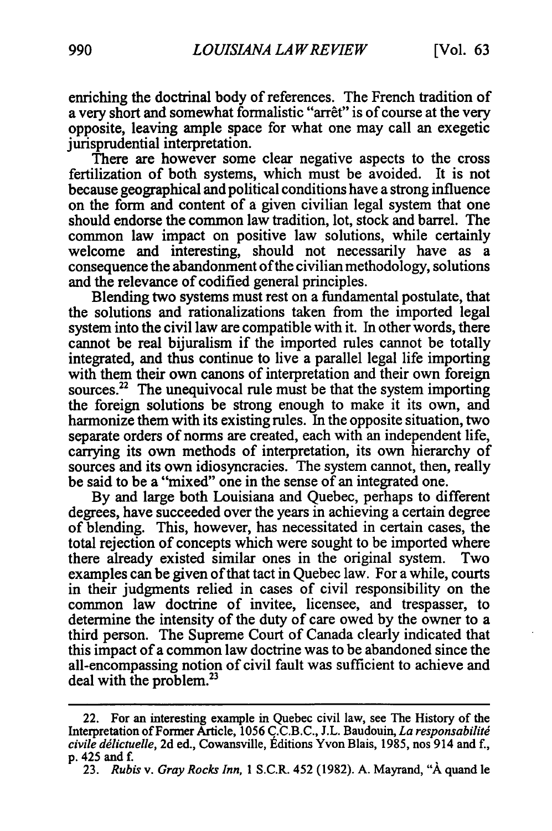enriching the doctrinal body of references. The French tradition of a very short and somewhat formalistic "arrêt" is of course at the very opposite, leaving ample space for what one may call an exegetic jurisprudential interpretation.

There are however some clear negative aspects to the cross fertilization of both systems, which must be avoided. It is not because geographical and political conditions have a strong influence on the form and content of a given civilian legal system that one should endorse the common law tradition, lot, stock and barrel. The common law impact on positive law solutions, while certainly welcome and interesting, should not necessarily have as a consequence the abandonment ofthe civilian methodology, solutions and the relevance of codified general principles.

Blending two systems must rest on a fundamental postulate, that the solutions and rationalizations taken from the imported legal system into the civil law are compatible with it. In other words, there cannot be real bijuralism if the imported rules cannot be totally integrated, and thus continue to live a parallel legal life importing with them their own canons of interpretation and their own foreign sources.<sup>22</sup> The unequivocal rule must be that the system importing the foreign solutions be strong enough to make it its own, and harmonize them with its existing rules. In the opposite situation, two separate orders of norms are created, each with an independent life, carrying its own methods of interpretation, its own hierarchy of sources and its own idiosyncracies. The system cannot, then, really be said to be a "mixed" one in the sense of an integrated one.

By and large both Louisiana and Quebec, perhaps to different degrees, have succeeded over the years in achieving a certain degree of blending. This, however, has necessitated in certain cases, the total rejection of concepts which were sought to be imported where there already existed similar ones in the original system. Two examples can be given of that tact in Quebec law. For a while, courts in their judgments relied in cases of civil responsibility on the common law doctrine of invitee, licensee, and trespasser, to determine the intensity of the duty of care owed by the owner to a third person. The Supreme Court of Canada clearly indicated that this impact of a common law doctrine was to be abandoned since the all-encompassing notion of civil fault was sufficient to achieve and deal with the problem.<sup>23</sup>

<sup>22.</sup> For an interesting example in Quebec civil law, see The History of the Interpretation ofFormer Article, 1056 C.C.B.C., J.L. Baudouin, *La responsabilitg civile ddlictuelle,*2d ed., Cowansville, Editions Yvon Blais, 1985, nos 914 and f., p. 425 and *f.* 

<sup>23.</sup> *Rubis v. GrayRocks Inn,* 1S.C.R. 452 (1982). A. Mayrand, **"A** quand le